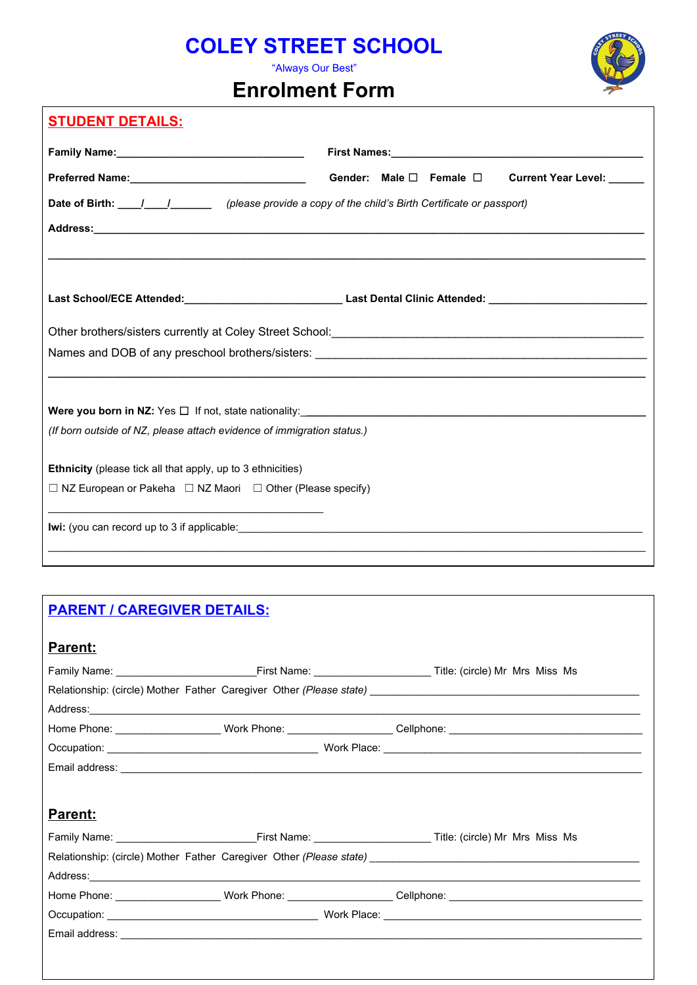# **COLEY STREET SCHOOL**

"Always Our Best"

## **Enrolment Form**



|                                                                            | Gender: Male $\square$ Female $\square$<br>Current Year Level: _____                                                                                                      |
|----------------------------------------------------------------------------|---------------------------------------------------------------------------------------------------------------------------------------------------------------------------|
|                                                                            | Date of Birth: 11-12 (please provide a copy of the child's Birth Certificate or passport)                                                                                 |
|                                                                            | <u> 1980 - Jan Barnett, mars eta bat erroman erroman erroman erroman erroman erroman erroman ez erroman ez erroman</u>                                                    |
|                                                                            | Last School/ECE Attended:________________________________Last Dental Clinic Attended: ________________________                                                            |
|                                                                            | Other brothers/sisters currently at Coley Street School:<br>2011 - 2022 - 2022 - 2022 - 2022 - 2022 - 2022 - 2022 - 2023 - 2023 - 2023 - 2023 - 2023 - 2023 - 2023 - 2023 |
|                                                                            |                                                                                                                                                                           |
|                                                                            |                                                                                                                                                                           |
| (If born outside of NZ, please attach evidence of immigration status.)     |                                                                                                                                                                           |
| Ethnicity (please tick all that apply, up to 3 ethnicities)                |                                                                                                                                                                           |
|                                                                            |                                                                                                                                                                           |
| $\Box$ NZ European or Pakeha $\Box$ NZ Maori $\Box$ Other (Please specify) |                                                                                                                                                                           |

## **PARENT / CAREGIVER DETAILS:**

**STUDENT DETAILS:**

# **Parent:** Family Name: \_\_\_\_\_\_\_\_\_\_\_\_\_\_\_\_\_\_\_\_\_\_\_\_First Name: \_\_\_\_\_\_\_\_\_\_\_\_\_\_\_\_\_\_\_\_ Title: (circle) Mr Mrs Miss Ms Relationship: (circle) Mother Father Caregiver Other (Please state) \_\_\_\_\_\_\_ Address:\_\_\_\_\_\_\_\_\_\_\_\_\_\_\_\_\_\_\_\_\_\_\_\_\_\_\_\_\_\_\_\_\_\_\_\_\_\_\_\_\_\_\_\_\_\_\_\_\_\_\_\_\_\_\_\_\_\_\_\_\_\_\_\_\_\_\_\_\_\_\_\_\_\_\_\_\_\_\_\_\_\_\_\_\_\_\_\_\_\_\_\_\_\_ Home Phone: \_\_\_\_\_\_\_\_\_\_\_\_\_\_\_\_\_\_\_\_\_\_\_\_ Work Phone: \_\_\_\_\_\_\_\_\_\_\_\_\_\_\_\_\_\_\_\_Cellphone: \_\_\_\_\_\_\_\_\_\_\_\_\_\_\_\_\_\_\_\_\_\_\_\_\_\_\_\_\_\_ Occupation: \_\_\_\_\_\_\_\_\_\_\_\_\_\_\_\_\_\_\_\_\_\_\_\_\_\_\_\_\_\_\_\_\_\_\_\_ Work Place: \_\_\_\_\_\_\_\_\_\_\_\_\_\_\_\_\_\_\_\_\_\_\_\_\_\_\_\_\_\_\_\_\_\_\_\_\_\_\_\_\_\_\_\_ Email address: \_\_\_\_\_\_\_\_\_\_\_\_\_\_\_\_\_\_\_\_\_\_\_\_\_\_\_\_\_\_\_\_\_\_\_\_\_\_\_\_\_\_\_\_\_\_\_\_\_\_\_\_\_\_\_\_\_\_\_\_\_\_\_\_\_\_\_\_\_\_\_\_\_\_\_\_\_\_\_\_\_\_\_\_\_\_\_\_\_ **Parent:** Family Name: \_\_\_\_\_\_\_\_\_\_\_\_\_\_\_\_\_\_\_\_\_\_\_\_First Name: \_\_\_\_\_\_\_\_\_\_\_\_\_\_\_\_\_\_\_\_ Title: (circle) Mr Mrs Miss Ms Relationship: (circle) Mother Father Caregiver Other (Please state) \_\_\_\_\_\_\_\_\_\_\_\_ Address:\_\_\_\_\_\_\_\_\_\_\_\_\_\_\_\_\_\_\_\_\_\_\_\_\_\_\_\_\_\_\_\_\_\_\_\_\_\_\_\_\_\_\_\_\_\_\_\_\_\_\_\_\_\_\_\_\_\_\_\_\_\_\_\_\_\_\_\_\_\_\_\_\_\_\_\_\_\_\_\_\_\_\_\_\_\_\_\_\_\_\_\_\_\_ Home Phone: \_\_\_\_\_\_\_\_\_\_\_\_\_\_\_\_\_\_\_\_\_\_\_ Work Phone: \_\_\_\_\_\_\_\_\_\_\_\_\_\_\_\_\_\_\_\_\_Cellphone: \_\_\_\_\_\_\_\_\_\_\_\_\_\_\_\_\_\_\_\_\_\_\_\_\_\_\_\_\_\_ Occupation: \_\_\_\_\_\_\_\_\_\_\_\_\_\_\_\_\_\_\_\_\_\_\_\_\_\_\_\_\_\_\_\_\_\_\_\_ Work Place: \_\_\_\_\_\_\_\_\_\_\_\_\_\_\_\_\_\_\_\_\_\_\_\_\_\_\_\_\_\_\_\_\_\_\_\_\_\_\_\_\_\_\_\_ Email address: \_\_\_\_\_\_\_\_\_\_\_\_\_\_\_\_\_\_\_\_\_\_\_\_\_\_\_\_\_\_\_\_\_\_\_\_\_\_\_\_\_\_\_\_\_\_\_\_\_\_\_\_\_\_\_\_\_\_\_\_\_\_\_\_\_\_\_\_\_\_\_\_\_\_\_\_\_\_\_\_\_\_\_\_\_\_\_\_\_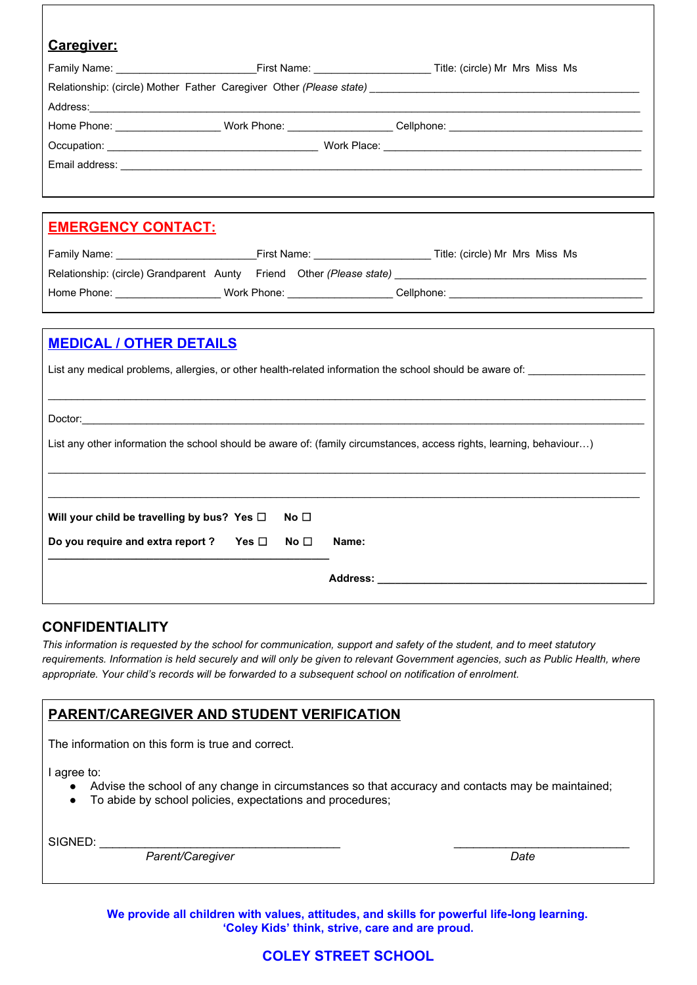| Caregiver:                                                                                                           |              |       |                                                                                                                                                                                                                                     |  |  |
|----------------------------------------------------------------------------------------------------------------------|--------------|-------|-------------------------------------------------------------------------------------------------------------------------------------------------------------------------------------------------------------------------------------|--|--|
|                                                                                                                      |              |       |                                                                                                                                                                                                                                     |  |  |
|                                                                                                                      |              |       |                                                                                                                                                                                                                                     |  |  |
|                                                                                                                      |              |       |                                                                                                                                                                                                                                     |  |  |
|                                                                                                                      |              |       | Home Phone: _________________________Work Phone: ____________________Cellphone: ______________________________                                                                                                                      |  |  |
|                                                                                                                      |              |       |                                                                                                                                                                                                                                     |  |  |
|                                                                                                                      |              |       | Email address: <u>experimental</u> contract the contract of the contract of the contract of the contract of the contract of the contract of the contract of the contract of the contract of the contract of the contract of the con |  |  |
|                                                                                                                      |              |       |                                                                                                                                                                                                                                     |  |  |
|                                                                                                                      |              |       |                                                                                                                                                                                                                                     |  |  |
| <u>EMERGENCY CONTACT:</u>                                                                                            |              |       |                                                                                                                                                                                                                                     |  |  |
|                                                                                                                      |              |       |                                                                                                                                                                                                                                     |  |  |
|                                                                                                                      |              |       |                                                                                                                                                                                                                                     |  |  |
|                                                                                                                      |              |       | Home Phone: ________________________Work Phone: _____________________Cellphone: ______________________________                                                                                                                      |  |  |
|                                                                                                                      |              |       |                                                                                                                                                                                                                                     |  |  |
| <b>MEDICAL / OTHER DETAILS</b>                                                                                       |              |       |                                                                                                                                                                                                                                     |  |  |
|                                                                                                                      |              |       |                                                                                                                                                                                                                                     |  |  |
|                                                                                                                      |              |       | List any medical problems, allergies, or other health-related information the school should be aware of: ______________________________                                                                                             |  |  |
|                                                                                                                      |              |       |                                                                                                                                                                                                                                     |  |  |
|                                                                                                                      |              |       |                                                                                                                                                                                                                                     |  |  |
| List any other information the school should be aware of: (family circumstances, access rights, learning, behaviour) |              |       |                                                                                                                                                                                                                                     |  |  |
|                                                                                                                      |              |       |                                                                                                                                                                                                                                     |  |  |
|                                                                                                                      |              |       |                                                                                                                                                                                                                                     |  |  |
|                                                                                                                      |              |       |                                                                                                                                                                                                                                     |  |  |
| Will your child be travelling by bus? Yes □                                                                          | No $\Box$    |       |                                                                                                                                                                                                                                     |  |  |
| Do you require and extra report ? Yes $\Box$                                                                         | No $\square$ | Name: |                                                                                                                                                                                                                                     |  |  |
| Address: _______________________                                                                                     |              |       |                                                                                                                                                                                                                                     |  |  |
|                                                                                                                      |              |       |                                                                                                                                                                                                                                     |  |  |

### **CONFIDENTIALITY**

*This information is requested by the school for communication, support and safety of the student, and to meet statutory requirements. Information is held securely and will only be given to relevant Government agencies, such as Public Health, where appropriate. Your child's records will be forwarded to a subsequent school on notification of enrolment.*

### **PARENT/CAREGIVER AND STUDENT VERIFICATION**

The information on this form is true and correct.

I agree to:

- Advise the school of any change in circumstances so that accuracy and contacts may be maintained;
- To abide by school policies, expectations and procedures;

SIGNED: \_

*Parent/Caregiver Date*

**We provide all children with values, attitudes, and skills for powerful life-long learning. 'Coley Kids' think, strive, care and are proud.**

## **COLEY STREET SCHOOL**